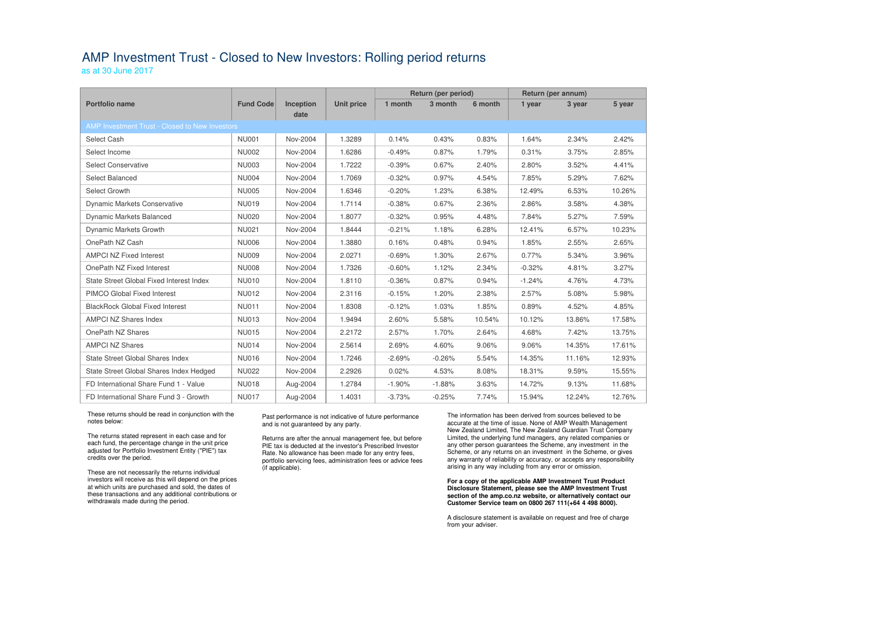## AMP Investment Trust - Closed to New Investors: Rolling period returns

as at 30 June 2017

|                                                |                  |                  |                   | <b>Return (per period)</b> |          |         | Return (per annum) |        |        |
|------------------------------------------------|------------------|------------------|-------------------|----------------------------|----------|---------|--------------------|--------|--------|
| <b>Portfolio name</b>                          | <b>Fund Code</b> | <b>Inception</b> | <b>Unit price</b> | 1 month                    | 3 month  | 6 month | 1 year             | 3 year | 5 year |
|                                                |                  | date             |                   |                            |          |         |                    |        |        |
| AMP Investment Trust - Closed to New Investors |                  |                  |                   |                            |          |         |                    |        |        |
| Select Cash                                    | <b>NU001</b>     | Nov-2004         | 1.3289            | 0.14%                      | 0.43%    | 0.83%   | 1.64%              | 2.34%  | 2.42%  |
| Select Income                                  | <b>NU002</b>     | Nov-2004         | 1.6286            | $-0.49%$                   | 0.87%    | 1.79%   | 0.31%              | 3.75%  | 2.85%  |
| <b>Select Conservative</b>                     | <b>NU003</b>     | Nov-2004         | 1.7222            | $-0.39%$                   | 0.67%    | 2.40%   | 2.80%              | 3.52%  | 4.41%  |
| <b>Select Balanced</b>                         | <b>NU004</b>     | Nov-2004         | 1.7069            | $-0.32%$                   | 0.97%    | 4.54%   | 7.85%              | 5.29%  | 7.62%  |
| Select Growth                                  | <b>NU005</b>     | Nov-2004         | 1.6346            | $-0.20%$                   | 1.23%    | 6.38%   | 12.49%             | 6.53%  | 10.26% |
| <b>Dynamic Markets Conservative</b>            | <b>NU019</b>     | Nov-2004         | 1.7114            | $-0.38%$                   | 0.67%    | 2.36%   | 2.86%              | 3.58%  | 4.38%  |
| Dynamic Markets Balanced                       | <b>NU020</b>     | Nov-2004         | 1.8077            | $-0.32%$                   | 0.95%    | 4.48%   | 7.84%              | 5.27%  | 7.59%  |
| Dynamic Markets Growth                         | <b>NU021</b>     | Nov-2004         | 1.8444            | $-0.21%$                   | 1.18%    | 6.28%   | 12.41%             | 6.57%  | 10.23% |
| OnePath NZ Cash                                | <b>NU006</b>     | Nov-2004         | 1.3880            | 0.16%                      | 0.48%    | 0.94%   | 1.85%              | 2.55%  | 2.65%  |
| <b>AMPCI NZ Fixed Interest</b>                 | <b>NU009</b>     | Nov-2004         | 2.0271            | $-0.69%$                   | 1.30%    | 2.67%   | 0.77%              | 5.34%  | 3.96%  |
| OnePath NZ Fixed Interest                      | <b>NU008</b>     | Nov-2004         | 1.7326            | $-0.60%$                   | 1.12%    | 2.34%   | $-0.32%$           | 4.81%  | 3.27%  |
| State Street Global Fixed Interest Index       | <b>NU010</b>     | Nov-2004         | 1.8110            | $-0.36%$                   | 0.87%    | 0.94%   | $-1.24%$           | 4.76%  | 4.73%  |
| PIMCO Global Fixed Interest                    | <b>NU012</b>     | Nov-2004         | 2.3116            | $-0.15%$                   | 1.20%    | 2.38%   | 2.57%              | 5.08%  | 5.98%  |
| <b>BlackRock Global Fixed Interest</b>         | <b>NU011</b>     | Nov-2004         | 1.8308            | $-0.12%$                   | 1.03%    | 1.85%   | 0.89%              | 4.52%  | 4.85%  |
| <b>AMPCI NZ Shares Index</b>                   | <b>NU013</b>     | Nov-2004         | 1.9494            | 2.60%                      | 5.58%    | 10.54%  | 10.12%             | 13.86% | 17.58% |
| OnePath NZ Shares                              | <b>NU015</b>     | Nov-2004         | 2.2172            | 2.57%                      | 1.70%    | 2.64%   | 4.68%              | 7.42%  | 13.75% |
| <b>AMPCI NZ Shares</b>                         | <b>NU014</b>     | Nov-2004         | 2.5614            | 2.69%                      | 4.60%    | 9.06%   | 9.06%              | 14.35% | 17.61% |
| State Street Global Shares Index               | <b>NU016</b>     | Nov-2004         | 1.7246            | $-2.69%$                   | $-0.26%$ | 5.54%   | 14.35%             | 11.16% | 12.93% |
| State Street Global Shares Index Hedged        | <b>NU022</b>     | Nov-2004         | 2.2926            | 0.02%                      | 4.53%    | 8.08%   | 18.31%             | 9.59%  | 15.55% |
| FD International Share Fund 1 - Value          | <b>NU018</b>     | Aug-2004         | 1.2784            | $-1.90%$                   | $-1.88%$ | 3.63%   | 14.72%             | 9.13%  | 11.68% |
| FD International Share Fund 3 - Growth         | <b>NU017</b>     | Aug-2004         | 1.4031            | $-3.73%$                   | $-0.25%$ | 7.74%   | 15.94%             | 12.24% | 12.76% |

These returns should be read in conjunction with the notes below:

The returns stated represent in each case and for each fund, the percentage change in the unit price adjusted for Portfolio Investment Entity ("PIE") tax credits over the period.

These are not necessarily the returns individual investors will receive as this will depend on the prices at which units are purchased and sold, the dates of these transactions and any additional contributions or withdrawals made during the period.

### Past performance is not indicative of future performance and is not guaranteed by any party.

Returns are after the annual management fee, but before PIE tax is deducted at the investor's Prescribed Investor Rate. No allowance has been made for any entry fees, portfolio servicing fees, administration fees or advice fees (if applicable).

The information has been derived from sources believed to be accurate at the time of issue. None of AMP Wealth Management New Zealand Limited, The New Zealand Guardian Trust Company Limited, the underlying fund managers, any related companies or any other person guarantees the Scheme, any investment in the Scheme, or any returns on an investment in the Scheme, or gives any warranty of reliability or accuracy, or accepts any responsibility arising in any way including from any error or omission.

#### **For a copy of the applicable AMP Investment Trust Product Disclosure Statement, please see the AMP Investment Trust section of the amp.co.nz website, or alternatively contact our Customer Service team on 0800 267 111(+64 4 498 8000).**

A disclosure statement is available on request and free of charge from your adviser.